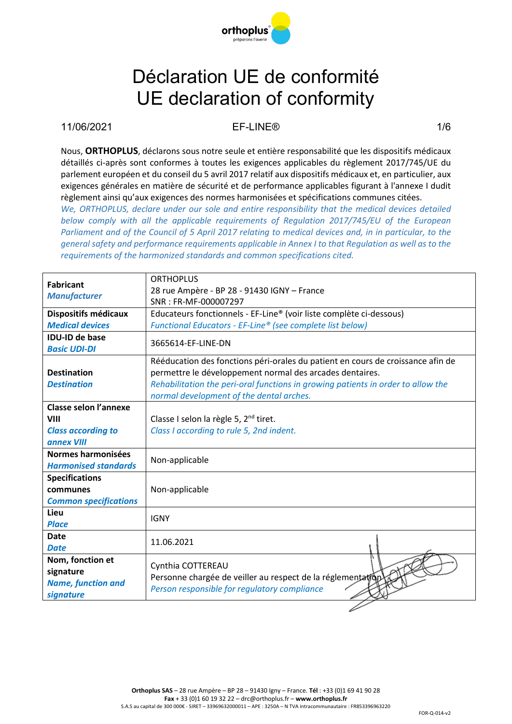

#### 11/06/2021 EF-LINE® 1/6

Nous, **ORTHOPLUS**, déclarons sous notre seule et entière responsabilité que les dispositifs médicaux détaillés ci-après sont conformes à toutes les exigences applicables du règlement 2017/745/UE du parlement européen et du conseil du 5 avril 2017 relatif aux dispositifs médicaux et, en particulier, aux exigences générales en matière de sécurité et de performance applicables figurant à l'annexe I dudit règlement ainsi qu'aux exigences des normes harmonisées et spécifications communes citées.

*We, ORTHOPLUS, declare under our sole and entire responsibility that the medical devices detailed below comply with all the applicable requirements of Regulation 2017/745/EU of the European Parliament and of the Council of 5 April 2017 relating to medical devices and, in in particular, to the general safety and performance requirements applicable in Annex I to that Regulation as well as to the requirements of the harmonized standards and common specifications cited.*

| <b>Fabricant</b>             | <b>ORTHOPLUS</b>                                                                 |  |  |
|------------------------------|----------------------------------------------------------------------------------|--|--|
|                              | 28 rue Ampère - BP 28 - 91430 IGNY - France                                      |  |  |
| <b>Manufacturer</b>          | SNR: FR-MF-000007297                                                             |  |  |
| Dispositifs médicaux         | Educateurs fonctionnels - EF-Line® (voir liste complète ci-dessous)              |  |  |
| <b>Medical devices</b>       | Functional Educators - EF-Line® (see complete list below)                        |  |  |
| <b>IDU-ID de base</b>        | 3665614-EF-LINE-DN                                                               |  |  |
| <b>Basic UDI-DI</b>          |                                                                                  |  |  |
|                              | Rééducation des fonctions péri-orales du patient en cours de croissance afin de  |  |  |
| <b>Destination</b>           | permettre le développement normal des arcades dentaires.                         |  |  |
| <b>Destination</b>           | Rehabilitation the peri-oral functions in growing patients in order to allow the |  |  |
|                              | normal development of the dental arches.                                         |  |  |
| <b>Classe selon l'annexe</b> |                                                                                  |  |  |
| <b>VIII</b>                  | Classe I selon la règle 5, 2 <sup>nd</sup> tiret.                                |  |  |
| <b>Class according to</b>    | Class I according to rule 5, 2nd indent.                                         |  |  |
| annex VIII                   |                                                                                  |  |  |
| Normes harmonisées           |                                                                                  |  |  |
| <b>Harmonised standards</b>  | Non-applicable                                                                   |  |  |
| <b>Specifications</b>        |                                                                                  |  |  |
| communes                     | Non-applicable                                                                   |  |  |
| <b>Common specifications</b> |                                                                                  |  |  |
| Lieu                         | <b>IGNY</b>                                                                      |  |  |
| <b>Place</b>                 |                                                                                  |  |  |
| <b>Date</b>                  | 11.06.2021                                                                       |  |  |
| <b>Date</b>                  |                                                                                  |  |  |
| Nom, fonction et             | Cynthia COTTEREAU                                                                |  |  |
| signature                    | Personne chargée de veiller au respect de la réglementation                      |  |  |
| <b>Name, function and</b>    | Person responsible for regulatory compliance                                     |  |  |
| signature                    |                                                                                  |  |  |
|                              |                                                                                  |  |  |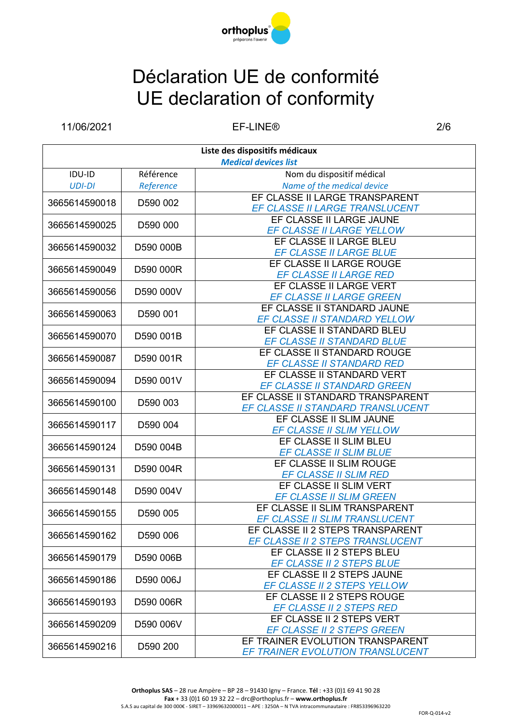

11/06/2021 EF-LINE® 2/6

| Liste des dispositifs médicaux |           |                                                              |  |
|--------------------------------|-----------|--------------------------------------------------------------|--|
| <b>Medical devices list</b>    |           |                                                              |  |
| <b>IDU-ID</b>                  | Référence | Nom du dispositif médical                                    |  |
| <b>UDI-DI</b>                  | Reference | Name of the medical device                                   |  |
| 3665614590018                  | D590 002  | EF CLASSE II LARGE TRANSPARENT                               |  |
|                                |           | EF CLASSE II LARGE TRANSLUCENT                               |  |
| 3665614590025                  | D590 000  | EF CLASSE II LARGE JAUNE                                     |  |
|                                |           | EF CLASSE II LARGE YELLOW                                    |  |
| 3665614590032                  | D590 000B | EF CLASSE II LARGE BLEU                                      |  |
|                                |           | EF CLASSE II LARGE BLUE                                      |  |
| 3665614590049                  | D590 000R | EF CLASSE II LARGE ROUGE                                     |  |
|                                |           | <b>EF CLASSE II LARGE RED</b>                                |  |
| 3665614590056                  | D590 000V | EF CLASSE II LARGE VERT                                      |  |
|                                |           | <b>EF CLASSE II LARGE GREEN</b>                              |  |
| 3665614590063                  | D590 001  | EF CLASSE II STANDARD JAUNE                                  |  |
|                                |           | EF CLASSE II STANDARD YELLOW                                 |  |
| 3665614590070                  | D590 001B | EF CLASSE II STANDARD BLEU                                   |  |
|                                |           | EF CLASSE II STANDARD BLUE                                   |  |
| 3665614590087                  | D590 001R | EF CLASSE II STANDARD ROUGE                                  |  |
|                                |           | <b>EF CLASSE II STANDARD RED</b>                             |  |
| 3665614590094                  | D590 001V | EF CLASSE II STANDARD VERT                                   |  |
|                                |           | <b>EF CLASSE II STANDARD GREEN</b>                           |  |
| 3665614590100                  | D590 003  | EF CLASSE II STANDARD TRANSPARENT                            |  |
|                                |           | EF CLASSE II STANDARD TRANSLUCENT<br>EF CLASSE II SLIM JAUNE |  |
| 3665614590117                  | D590 004  | EF CLASSE II SLIM YELLOW                                     |  |
|                                |           | EF CLASSE II SLIM BLEU                                       |  |
| 3665614590124                  | D590 004B | EF CLASSE II SLIM BLUE                                       |  |
|                                |           | EF CLASSE II SLIM ROUGE                                      |  |
| 3665614590131                  | D590 004R | <b>EF CLASSE II SLIM RED</b>                                 |  |
|                                |           | EF CLASSE II SLIM VERT                                       |  |
| 3665614590148                  | D590 004V | <b>EF CLASSE II SLIM GREEN</b>                               |  |
|                                |           | EF CLASSE II SLIM TRANSPARENT                                |  |
| 3665614590155                  | D590 005  | EF CLASSE II SLIM TRANSLUCENT                                |  |
|                                |           | EF CLASSE II 2 STEPS TRANSPARENT                             |  |
| 3665614590162                  | D590 006  | <b>EF CLASSE II 2 STEPS TRANSLUCENT</b>                      |  |
|                                | D590 006B | EF CLASSE II 2 STEPS BLEU                                    |  |
| 3665614590179                  |           | EF CLASSE II 2 STEPS BLUE                                    |  |
| 3665614590186                  | D590 006J | EF CLASSE II 2 STEPS JAUNE                                   |  |
|                                |           | EF CLASSE II 2 STEPS YELLOW                                  |  |
| 3665614590193                  | D590 006R | EF CLASSE II 2 STEPS ROUGE                                   |  |
|                                |           | EF CLASSE II 2 STEPS RED                                     |  |
| 3665614590209                  | D590 006V | EF CLASSE II 2 STEPS VERT                                    |  |
|                                |           | EF CLASSE II 2 STEPS GREEN                                   |  |
|                                | D590 200  | EF TRAINER EVOLUTION TRANSPARENT                             |  |
| 3665614590216                  |           | EF TRAINER EVOLUTION TRANSLUCENT                             |  |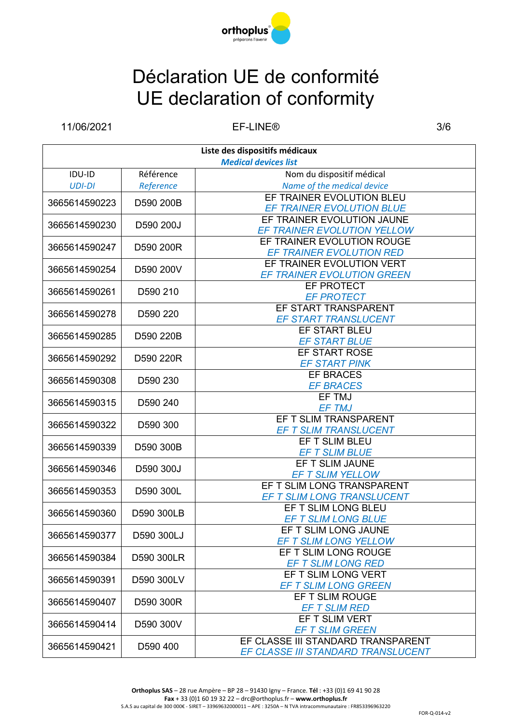

11/06/2021 EF-LINE® 3/6

| <b>Medical devices list</b><br>Nom du dispositif médical<br>Référence<br>IDU-ID<br>Name of the medical device<br><b>UDI-DI</b><br>Reference<br>EF TRAINER EVOLUTION BLEU<br>D590 200B<br>3665614590223<br>EF TRAINER EVOLUTION BLUE<br>EF TRAINER EVOLUTION JAUNE<br>3665614590230<br>D590 200J<br>EF TRAINER EVOLUTION YELLOW<br>EF TRAINER EVOLUTION ROUGE<br>3665614590247<br>D590 200R<br>EF TRAINER EVOLUTION RED<br>EF TRAINER EVOLUTION VERT<br>3665614590254<br>D590 200V<br>EF TRAINER EVOLUTION GREEN<br>EF PROTECT<br>3665614590261<br>D590 210<br><b>EF PROTECT</b><br>EF START TRANSPARENT<br>3665614590278<br>D590 220<br><b>EF START TRANSLUCENT</b><br>EF START BLEU<br>D590 220B<br>3665614590285<br><b>EF START BLUE</b><br>EF START ROSE<br>3665614590292<br>D590 220R<br><b>EF START PINK</b><br><b>EF BRACES</b><br>3665614590308<br>D590 230<br><b>EF BRACES</b><br>EF TMJ<br>3665614590315<br>D590 240<br><b>EF TMJ</b><br>EF T SLIM TRANSPARENT<br>3665614590322<br>D590 300<br><b>EF T SLIM TRANSLUCENT</b><br>EF T SLIM BLEU<br>D590 300B<br>3665614590339<br><b>EF T SLIM BLUE</b><br>EF T SLIM JAUNE<br>3665614590346<br>D590 300J<br><b>EF T SLIM YELLOW</b><br>EF T SLIM LONG TRANSPARENT<br>3665614590353<br>D590 300L<br>EF T SLIM LONG TRANSLUCENT<br>EF T SLIM LONG BLEU<br>D590 300LB<br>3665614590360<br>EF T SLIM LONG BLUE<br>EF T SLIM LONG JAUNE<br>3665614590377<br>D590 300LJ<br><b>EF T SLIM LONG YELLOW</b><br>EF T SLIM LONG ROUGE<br>D590 300LR<br>3665614590384<br><b>EF T SLIM LONG RED</b><br>EF T SLIM LONG VERT<br>D590 300LV<br>3665614590391<br><b>EF T SLIM LONG GREEN</b><br>EF T SLIM ROUGE<br>D590 300R<br>3665614590407<br><b>EF T SLIM RED</b><br>EF T SLIM VERT<br>3665614590414<br>D590 300V<br><b>EF T SLIM GREEN</b><br>EF CLASSE III STANDARD TRANSPARENT<br>3665614590421<br>D590 400<br>EF CLASSE III STANDARD TRANSLUCENT | Liste des dispositifs médicaux |  |  |  |
|----------------------------------------------------------------------------------------------------------------------------------------------------------------------------------------------------------------------------------------------------------------------------------------------------------------------------------------------------------------------------------------------------------------------------------------------------------------------------------------------------------------------------------------------------------------------------------------------------------------------------------------------------------------------------------------------------------------------------------------------------------------------------------------------------------------------------------------------------------------------------------------------------------------------------------------------------------------------------------------------------------------------------------------------------------------------------------------------------------------------------------------------------------------------------------------------------------------------------------------------------------------------------------------------------------------------------------------------------------------------------------------------------------------------------------------------------------------------------------------------------------------------------------------------------------------------------------------------------------------------------------------------------------------------------------------------------------------------------------------------------------------------------------------------------------------------------------------------------------------------------------------------|--------------------------------|--|--|--|
|                                                                                                                                                                                                                                                                                                                                                                                                                                                                                                                                                                                                                                                                                                                                                                                                                                                                                                                                                                                                                                                                                                                                                                                                                                                                                                                                                                                                                                                                                                                                                                                                                                                                                                                                                                                                                                                                                              |                                |  |  |  |
|                                                                                                                                                                                                                                                                                                                                                                                                                                                                                                                                                                                                                                                                                                                                                                                                                                                                                                                                                                                                                                                                                                                                                                                                                                                                                                                                                                                                                                                                                                                                                                                                                                                                                                                                                                                                                                                                                              |                                |  |  |  |
|                                                                                                                                                                                                                                                                                                                                                                                                                                                                                                                                                                                                                                                                                                                                                                                                                                                                                                                                                                                                                                                                                                                                                                                                                                                                                                                                                                                                                                                                                                                                                                                                                                                                                                                                                                                                                                                                                              |                                |  |  |  |
|                                                                                                                                                                                                                                                                                                                                                                                                                                                                                                                                                                                                                                                                                                                                                                                                                                                                                                                                                                                                                                                                                                                                                                                                                                                                                                                                                                                                                                                                                                                                                                                                                                                                                                                                                                                                                                                                                              |                                |  |  |  |
|                                                                                                                                                                                                                                                                                                                                                                                                                                                                                                                                                                                                                                                                                                                                                                                                                                                                                                                                                                                                                                                                                                                                                                                                                                                                                                                                                                                                                                                                                                                                                                                                                                                                                                                                                                                                                                                                                              |                                |  |  |  |
|                                                                                                                                                                                                                                                                                                                                                                                                                                                                                                                                                                                                                                                                                                                                                                                                                                                                                                                                                                                                                                                                                                                                                                                                                                                                                                                                                                                                                                                                                                                                                                                                                                                                                                                                                                                                                                                                                              |                                |  |  |  |
|                                                                                                                                                                                                                                                                                                                                                                                                                                                                                                                                                                                                                                                                                                                                                                                                                                                                                                                                                                                                                                                                                                                                                                                                                                                                                                                                                                                                                                                                                                                                                                                                                                                                                                                                                                                                                                                                                              |                                |  |  |  |
|                                                                                                                                                                                                                                                                                                                                                                                                                                                                                                                                                                                                                                                                                                                                                                                                                                                                                                                                                                                                                                                                                                                                                                                                                                                                                                                                                                                                                                                                                                                                                                                                                                                                                                                                                                                                                                                                                              |                                |  |  |  |
|                                                                                                                                                                                                                                                                                                                                                                                                                                                                                                                                                                                                                                                                                                                                                                                                                                                                                                                                                                                                                                                                                                                                                                                                                                                                                                                                                                                                                                                                                                                                                                                                                                                                                                                                                                                                                                                                                              |                                |  |  |  |
|                                                                                                                                                                                                                                                                                                                                                                                                                                                                                                                                                                                                                                                                                                                                                                                                                                                                                                                                                                                                                                                                                                                                                                                                                                                                                                                                                                                                                                                                                                                                                                                                                                                                                                                                                                                                                                                                                              |                                |  |  |  |
|                                                                                                                                                                                                                                                                                                                                                                                                                                                                                                                                                                                                                                                                                                                                                                                                                                                                                                                                                                                                                                                                                                                                                                                                                                                                                                                                                                                                                                                                                                                                                                                                                                                                                                                                                                                                                                                                                              |                                |  |  |  |
|                                                                                                                                                                                                                                                                                                                                                                                                                                                                                                                                                                                                                                                                                                                                                                                                                                                                                                                                                                                                                                                                                                                                                                                                                                                                                                                                                                                                                                                                                                                                                                                                                                                                                                                                                                                                                                                                                              |                                |  |  |  |
|                                                                                                                                                                                                                                                                                                                                                                                                                                                                                                                                                                                                                                                                                                                                                                                                                                                                                                                                                                                                                                                                                                                                                                                                                                                                                                                                                                                                                                                                                                                                                                                                                                                                                                                                                                                                                                                                                              |                                |  |  |  |
|                                                                                                                                                                                                                                                                                                                                                                                                                                                                                                                                                                                                                                                                                                                                                                                                                                                                                                                                                                                                                                                                                                                                                                                                                                                                                                                                                                                                                                                                                                                                                                                                                                                                                                                                                                                                                                                                                              |                                |  |  |  |
|                                                                                                                                                                                                                                                                                                                                                                                                                                                                                                                                                                                                                                                                                                                                                                                                                                                                                                                                                                                                                                                                                                                                                                                                                                                                                                                                                                                                                                                                                                                                                                                                                                                                                                                                                                                                                                                                                              |                                |  |  |  |
|                                                                                                                                                                                                                                                                                                                                                                                                                                                                                                                                                                                                                                                                                                                                                                                                                                                                                                                                                                                                                                                                                                                                                                                                                                                                                                                                                                                                                                                                                                                                                                                                                                                                                                                                                                                                                                                                                              |                                |  |  |  |
|                                                                                                                                                                                                                                                                                                                                                                                                                                                                                                                                                                                                                                                                                                                                                                                                                                                                                                                                                                                                                                                                                                                                                                                                                                                                                                                                                                                                                                                                                                                                                                                                                                                                                                                                                                                                                                                                                              |                                |  |  |  |
|                                                                                                                                                                                                                                                                                                                                                                                                                                                                                                                                                                                                                                                                                                                                                                                                                                                                                                                                                                                                                                                                                                                                                                                                                                                                                                                                                                                                                                                                                                                                                                                                                                                                                                                                                                                                                                                                                              |                                |  |  |  |
|                                                                                                                                                                                                                                                                                                                                                                                                                                                                                                                                                                                                                                                                                                                                                                                                                                                                                                                                                                                                                                                                                                                                                                                                                                                                                                                                                                                                                                                                                                                                                                                                                                                                                                                                                                                                                                                                                              |                                |  |  |  |
|                                                                                                                                                                                                                                                                                                                                                                                                                                                                                                                                                                                                                                                                                                                                                                                                                                                                                                                                                                                                                                                                                                                                                                                                                                                                                                                                                                                                                                                                                                                                                                                                                                                                                                                                                                                                                                                                                              |                                |  |  |  |
|                                                                                                                                                                                                                                                                                                                                                                                                                                                                                                                                                                                                                                                                                                                                                                                                                                                                                                                                                                                                                                                                                                                                                                                                                                                                                                                                                                                                                                                                                                                                                                                                                                                                                                                                                                                                                                                                                              |                                |  |  |  |
|                                                                                                                                                                                                                                                                                                                                                                                                                                                                                                                                                                                                                                                                                                                                                                                                                                                                                                                                                                                                                                                                                                                                                                                                                                                                                                                                                                                                                                                                                                                                                                                                                                                                                                                                                                                                                                                                                              |                                |  |  |  |
|                                                                                                                                                                                                                                                                                                                                                                                                                                                                                                                                                                                                                                                                                                                                                                                                                                                                                                                                                                                                                                                                                                                                                                                                                                                                                                                                                                                                                                                                                                                                                                                                                                                                                                                                                                                                                                                                                              |                                |  |  |  |
|                                                                                                                                                                                                                                                                                                                                                                                                                                                                                                                                                                                                                                                                                                                                                                                                                                                                                                                                                                                                                                                                                                                                                                                                                                                                                                                                                                                                                                                                                                                                                                                                                                                                                                                                                                                                                                                                                              |                                |  |  |  |
|                                                                                                                                                                                                                                                                                                                                                                                                                                                                                                                                                                                                                                                                                                                                                                                                                                                                                                                                                                                                                                                                                                                                                                                                                                                                                                                                                                                                                                                                                                                                                                                                                                                                                                                                                                                                                                                                                              |                                |  |  |  |
|                                                                                                                                                                                                                                                                                                                                                                                                                                                                                                                                                                                                                                                                                                                                                                                                                                                                                                                                                                                                                                                                                                                                                                                                                                                                                                                                                                                                                                                                                                                                                                                                                                                                                                                                                                                                                                                                                              |                                |  |  |  |
|                                                                                                                                                                                                                                                                                                                                                                                                                                                                                                                                                                                                                                                                                                                                                                                                                                                                                                                                                                                                                                                                                                                                                                                                                                                                                                                                                                                                                                                                                                                                                                                                                                                                                                                                                                                                                                                                                              |                                |  |  |  |
|                                                                                                                                                                                                                                                                                                                                                                                                                                                                                                                                                                                                                                                                                                                                                                                                                                                                                                                                                                                                                                                                                                                                                                                                                                                                                                                                                                                                                                                                                                                                                                                                                                                                                                                                                                                                                                                                                              |                                |  |  |  |
|                                                                                                                                                                                                                                                                                                                                                                                                                                                                                                                                                                                                                                                                                                                                                                                                                                                                                                                                                                                                                                                                                                                                                                                                                                                                                                                                                                                                                                                                                                                                                                                                                                                                                                                                                                                                                                                                                              |                                |  |  |  |
|                                                                                                                                                                                                                                                                                                                                                                                                                                                                                                                                                                                                                                                                                                                                                                                                                                                                                                                                                                                                                                                                                                                                                                                                                                                                                                                                                                                                                                                                                                                                                                                                                                                                                                                                                                                                                                                                                              |                                |  |  |  |
|                                                                                                                                                                                                                                                                                                                                                                                                                                                                                                                                                                                                                                                                                                                                                                                                                                                                                                                                                                                                                                                                                                                                                                                                                                                                                                                                                                                                                                                                                                                                                                                                                                                                                                                                                                                                                                                                                              |                                |  |  |  |
|                                                                                                                                                                                                                                                                                                                                                                                                                                                                                                                                                                                                                                                                                                                                                                                                                                                                                                                                                                                                                                                                                                                                                                                                                                                                                                                                                                                                                                                                                                                                                                                                                                                                                                                                                                                                                                                                                              |                                |  |  |  |
|                                                                                                                                                                                                                                                                                                                                                                                                                                                                                                                                                                                                                                                                                                                                                                                                                                                                                                                                                                                                                                                                                                                                                                                                                                                                                                                                                                                                                                                                                                                                                                                                                                                                                                                                                                                                                                                                                              |                                |  |  |  |
|                                                                                                                                                                                                                                                                                                                                                                                                                                                                                                                                                                                                                                                                                                                                                                                                                                                                                                                                                                                                                                                                                                                                                                                                                                                                                                                                                                                                                                                                                                                                                                                                                                                                                                                                                                                                                                                                                              |                                |  |  |  |
|                                                                                                                                                                                                                                                                                                                                                                                                                                                                                                                                                                                                                                                                                                                                                                                                                                                                                                                                                                                                                                                                                                                                                                                                                                                                                                                                                                                                                                                                                                                                                                                                                                                                                                                                                                                                                                                                                              |                                |  |  |  |
|                                                                                                                                                                                                                                                                                                                                                                                                                                                                                                                                                                                                                                                                                                                                                                                                                                                                                                                                                                                                                                                                                                                                                                                                                                                                                                                                                                                                                                                                                                                                                                                                                                                                                                                                                                                                                                                                                              |                                |  |  |  |
|                                                                                                                                                                                                                                                                                                                                                                                                                                                                                                                                                                                                                                                                                                                                                                                                                                                                                                                                                                                                                                                                                                                                                                                                                                                                                                                                                                                                                                                                                                                                                                                                                                                                                                                                                                                                                                                                                              |                                |  |  |  |
|                                                                                                                                                                                                                                                                                                                                                                                                                                                                                                                                                                                                                                                                                                                                                                                                                                                                                                                                                                                                                                                                                                                                                                                                                                                                                                                                                                                                                                                                                                                                                                                                                                                                                                                                                                                                                                                                                              |                                |  |  |  |
|                                                                                                                                                                                                                                                                                                                                                                                                                                                                                                                                                                                                                                                                                                                                                                                                                                                                                                                                                                                                                                                                                                                                                                                                                                                                                                                                                                                                                                                                                                                                                                                                                                                                                                                                                                                                                                                                                              |                                |  |  |  |
|                                                                                                                                                                                                                                                                                                                                                                                                                                                                                                                                                                                                                                                                                                                                                                                                                                                                                                                                                                                                                                                                                                                                                                                                                                                                                                                                                                                                                                                                                                                                                                                                                                                                                                                                                                                                                                                                                              |                                |  |  |  |
|                                                                                                                                                                                                                                                                                                                                                                                                                                                                                                                                                                                                                                                                                                                                                                                                                                                                                                                                                                                                                                                                                                                                                                                                                                                                                                                                                                                                                                                                                                                                                                                                                                                                                                                                                                                                                                                                                              |                                |  |  |  |
|                                                                                                                                                                                                                                                                                                                                                                                                                                                                                                                                                                                                                                                                                                                                                                                                                                                                                                                                                                                                                                                                                                                                                                                                                                                                                                                                                                                                                                                                                                                                                                                                                                                                                                                                                                                                                                                                                              |                                |  |  |  |
|                                                                                                                                                                                                                                                                                                                                                                                                                                                                                                                                                                                                                                                                                                                                                                                                                                                                                                                                                                                                                                                                                                                                                                                                                                                                                                                                                                                                                                                                                                                                                                                                                                                                                                                                                                                                                                                                                              |                                |  |  |  |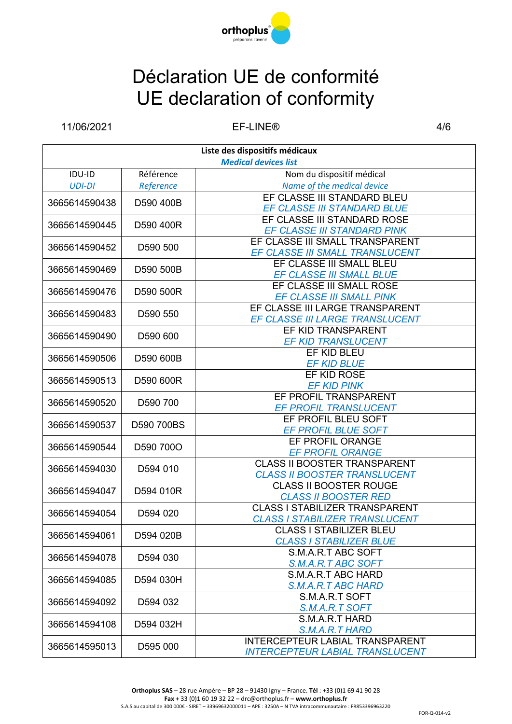

11/06/2021 EF-LINE® 4/6

| Liste des dispositifs médicaux |            |                                                                      |  |
|--------------------------------|------------|----------------------------------------------------------------------|--|
| <b>Medical devices list</b>    |            |                                                                      |  |
| IDU-ID                         | Référence  | Nom du dispositif médical                                            |  |
| <b>UDI-DI</b>                  | Reference  | Name of the medical device                                           |  |
| 3665614590438                  | D590 400B  | EF CLASSE III STANDARD BLEU                                          |  |
|                                |            | EF CLASSE III STANDARD BLUE                                          |  |
| 3665614590445                  | D590 400R  | EF CLASSE III STANDARD ROSE                                          |  |
|                                |            | EF CLASSE III STANDARD PINK                                          |  |
| 3665614590452                  | D590 500   | EF CLASSE III SMALL TRANSPARENT                                      |  |
|                                |            | EF CLASSE III SMALL TRANSLUCENT                                      |  |
| 3665614590469                  | D590 500B  | EF CLASSE III SMALL BLEU                                             |  |
|                                |            | EF CLASSE III SMALL BLUE                                             |  |
| 3665614590476                  | D590 500R  | EF CLASSE III SMALL ROSE                                             |  |
|                                |            | EF CLASSE III SMALL PINK                                             |  |
| 3665614590483                  | D590 550   | EF CLASSE III LARGE TRANSPARENT                                      |  |
|                                |            | EF CLASSE III LARGE TRANSLUCENT                                      |  |
| 3665614590490                  | D590 600   | EF KID TRANSPARENT                                                   |  |
|                                |            | <b>EF KID TRANSLUCENT</b>                                            |  |
| 3665614590506                  | D590 600B  | EF KID BLEU                                                          |  |
|                                |            | <b>EF KID BLUE</b>                                                   |  |
| 3665614590513                  | D590 600R  | EF KID ROSE                                                          |  |
|                                |            | <b>EF KID PINK</b>                                                   |  |
| 3665614590520                  | D590 700   | EF PROFIL TRANSPARENT                                                |  |
|                                |            | EF PROFIL TRANSLUCENT                                                |  |
| 3665614590537                  | D590 700BS | EF PROFIL BLEU SOFT                                                  |  |
|                                |            | <b>EF PROFIL BLUE SOFT</b>                                           |  |
| 3665614590544                  | D590 700O  | EF PROFIL ORANGE                                                     |  |
|                                |            | <b>EF PROFIL ORANGE</b>                                              |  |
| 3665614594030                  | D594 010   | <b>CLASS II BOOSTER TRANSPARENT</b>                                  |  |
|                                |            | <b>CLASS II BOOSTER TRANSLUCENT</b>                                  |  |
| 3665614594047                  | D594 010R  | <b>CLASS II BOOSTER ROUGE</b>                                        |  |
|                                |            | <b>CLASS II BOOSTER RED</b><br><b>CLASS I STABILIZER TRANSPARENT</b> |  |
| 3665614594054                  | D594 020   | <b>CLASS I STABILIZER TRANSLUCENT</b>                                |  |
|                                |            | <b>CLASS I STABILIZER BLEU</b>                                       |  |
| 3665614594061                  | D594 020B  | <b>CLASS I STABILIZER BLUE</b>                                       |  |
|                                |            | S.M.A.R.T ABC SOFT                                                   |  |
| 3665614594078                  | D594 030   | S.M.A.R.T ABC SOFT                                                   |  |
| 3665614594085                  | D594 030H  | S.M.A.R.T ABC HARD                                                   |  |
|                                |            | S.M.A.R.T ABC HARD                                                   |  |
| 3665614594092                  | D594 032   | S.M.A.R.T SOFT                                                       |  |
|                                |            | S.M.A.R.T SOFT                                                       |  |
| 3665614594108                  | D594 032H  | S.M.A.R.T HARD                                                       |  |
|                                |            | S.M.A.R.T HARD                                                       |  |
|                                |            | INTERCEPTEUR LABIAL TRANSPARENT                                      |  |
| 3665614595013                  | D595 000   | <b>INTERCEPTEUR LABIAL TRANSLUCENT</b>                               |  |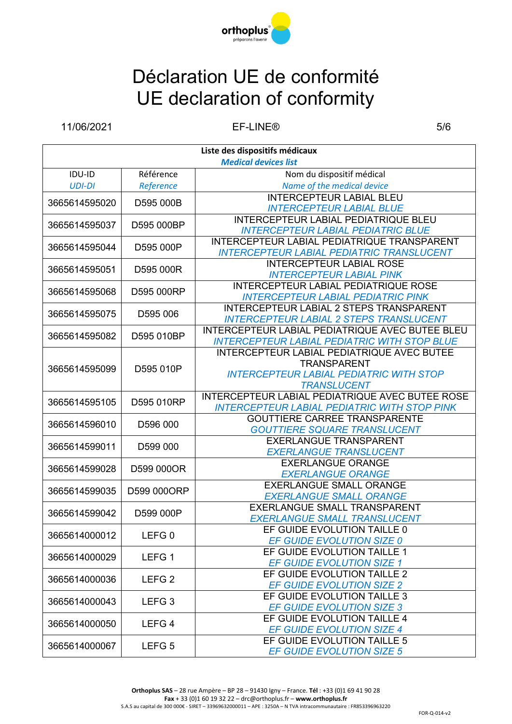

11/06/2021 EF-LINE® 5/6

| Liste des dispositifs médicaux |                   |                                                                      |  |
|--------------------------------|-------------------|----------------------------------------------------------------------|--|
| <b>Medical devices list</b>    |                   |                                                                      |  |
| IDU-ID                         | Référence         | Nom du dispositif médical                                            |  |
| <b>UDI-DI</b>                  | Reference         | Name of the medical device                                           |  |
| 3665614595020                  | D595 000B         | <b>INTERCEPTEUR LABIAL BLEU</b>                                      |  |
|                                |                   | <b>INTERCEPTEUR LABIAL BLUE</b>                                      |  |
| 3665614595037                  | D595 000BP        | <b>INTERCEPTEUR LABIAL PEDIATRIQUE BLEU</b>                          |  |
|                                |                   | <b>INTERCEPTEUR LABIAL PEDIATRIC BLUE</b>                            |  |
| 3665614595044                  | D595 000P         | INTERCEPTEUR LABIAL PEDIATRIQUE TRANSPARENT                          |  |
|                                |                   | <b>INTERCEPTEUR LABIAL PEDIATRIC TRANSLUCENT</b>                     |  |
| 3665614595051                  | D595 000R         | <b>INTERCEPTEUR LABIAL ROSE</b>                                      |  |
|                                |                   | <b>INTERCEPTEUR LABIAL PINK</b>                                      |  |
| 3665614595068                  | D595 000RP        | INTERCEPTEUR LABIAL PEDIATRIQUE ROSE                                 |  |
|                                |                   | <b>INTERCEPTEUR LABIAL PEDIATRIC PINK</b>                            |  |
| 3665614595075                  | D595 006          | <b>INTERCEPTEUR LABIAL 2 STEPS TRANSPARENT</b>                       |  |
|                                |                   | <b>INTERCEPTEUR LABIAL 2 STEPS TRANSLUCENT</b>                       |  |
| 3665614595082                  | D595 010BP        | INTERCEPTEUR LABIAL PEDIATRIQUE AVEC BUTEE BLEU                      |  |
|                                |                   | <b>INTERCEPTEUR LABIAL PEDIATRIC WITH STOP BLUE</b>                  |  |
|                                |                   | <b>INTERCEPTEUR LABIAL PEDIATRIQUE AVEC BUTEE</b>                    |  |
| 3665614595099                  | D595 010P         | <b>TRANSPARENT</b>                                                   |  |
|                                |                   | <b>INTERCEPTEUR LABIAL PEDIATRIC WITH STOP</b>                       |  |
|                                |                   | <b>TRANSLUCENT</b>                                                   |  |
| 3665614595105                  | D595 010RP        | INTERCEPTEUR LABIAL PEDIATRIQUE AVEC BUTEE ROSE                      |  |
|                                |                   | <b>INTERCEPTEUR LABIAL PEDIATRIC WITH STOP PINK</b>                  |  |
| 3665614596010                  | D596 000          | <b>GOUTTIERE CARREE TRANSPARENTE</b>                                 |  |
|                                |                   | <b>GOUTTIERE SQUARE TRANSLUCENT</b><br><b>EXERLANGUE TRANSPARENT</b> |  |
| 3665614599011                  | D599 000          | <b>EXERLANGUE TRANSLUCENT</b>                                        |  |
|                                |                   | <b>EXERLANGUE ORANGE</b>                                             |  |
| 3665614599028                  | D599 000OR        | <b>EXERLANGUE ORANGE</b>                                             |  |
|                                |                   | <b>EXERLANGUE SMALL ORANGE</b>                                       |  |
| 3665614599035                  | D599 000ORP       | <b>EXERLANGUE SMALL ORANGE</b>                                       |  |
|                                |                   | <b>EXERLANGUE SMALL TRANSPARENT</b>                                  |  |
| 3665614599042                  | D599 000P         | EXERLANGUE SMALL TRANSLUCENT                                         |  |
|                                |                   | EF GUIDE EVOLUTION TAILLE 0                                          |  |
| 3665614000012                  | LEFG <sub>0</sub> | EF GUIDE EVOLUTION SIZE 0                                            |  |
|                                | LEFG <sub>1</sub> | EF GUIDE EVOLUTION TAILLE 1                                          |  |
| 3665614000029                  |                   | <b>EF GUIDE EVOLUTION SIZE 1</b>                                     |  |
|                                | LEFG <sub>2</sub> | EF GUIDE EVOLUTION TAILLE 2                                          |  |
| 3665614000036                  |                   | <b>EF GUIDE EVOLUTION SIZE 2</b>                                     |  |
| 3665614000043                  | LEFG <sub>3</sub> | EF GUIDE EVOLUTION TAILLE 3                                          |  |
|                                |                   | <b>EF GUIDE EVOLUTION SIZE 3</b>                                     |  |
| 3665614000050                  | LEFG <sub>4</sub> | EF GUIDE EVOLUTION TAILLE 4                                          |  |
|                                |                   | <b>EF GUIDE EVOLUTION SIZE 4</b>                                     |  |
| 3665614000067                  | LEFG <sub>5</sub> | EF GUIDE EVOLUTION TAILLE 5                                          |  |
|                                |                   | <b>EF GUIDE EVOLUTION SIZE 5</b>                                     |  |